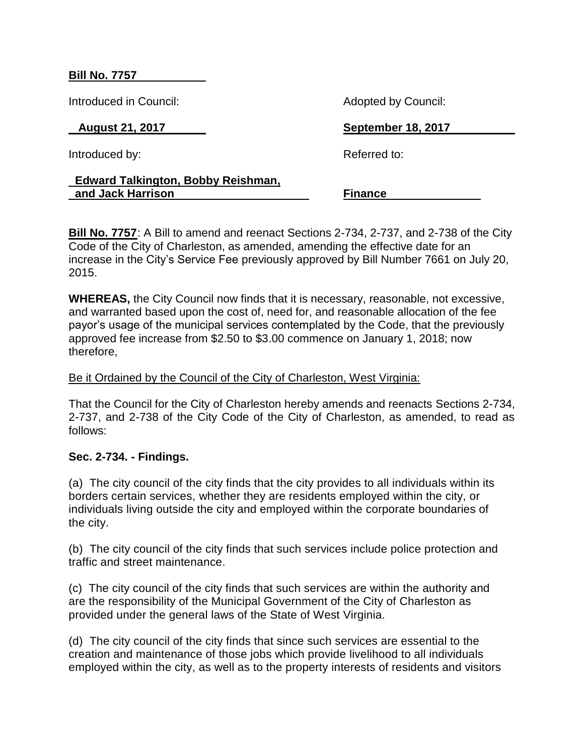### **Bill No. 7757**

Introduced in Council: Adopted by Council:

Introduced by: Referred to:

# **August 21, 2017 September 18, 2017**

### **Edward Talkington, Bobby Reishman, and Jack Harrison Finance**

**Bill No. 7757**: A Bill to amend and reenact Sections 2-734, 2-737, and 2-738 of the City Code of the City of Charleston, as amended, amending the effective date for an increase in the City's Service Fee previously approved by Bill Number 7661 on July 20, 2015.

**WHEREAS,** the City Council now finds that it is necessary, reasonable, not excessive, and warranted based upon the cost of, need for, and reasonable allocation of the fee payor's usage of the municipal services contemplated by the Code, that the previously approved fee increase from \$2.50 to \$3.00 commence on January 1, 2018; now therefore,

## Be it Ordained by the Council of the City of Charleston, West Virginia:

That the Council for the City of Charleston hereby amends and reenacts Sections 2-734, 2-737, and 2-738 of the City Code of the City of Charleston, as amended, to read as follows:

## **Sec. 2-734. - Findings.**

(a) The city council of the city finds that the city provides to all individuals within its borders certain services, whether they are residents employed within the city, or individuals living outside the city and employed within the corporate boundaries of the city.

(b) The city council of the city finds that such services include police protection and traffic and street maintenance.

(c) The city council of the city finds that such services are within the authority and are the responsibility of the Municipal Government of the City of Charleston as provided under the general laws of the State of West Virginia.

(d) The city council of the city finds that since such services are essential to the creation and maintenance of those jobs which provide livelihood to all individuals employed within the city, as well as to the property interests of residents and visitors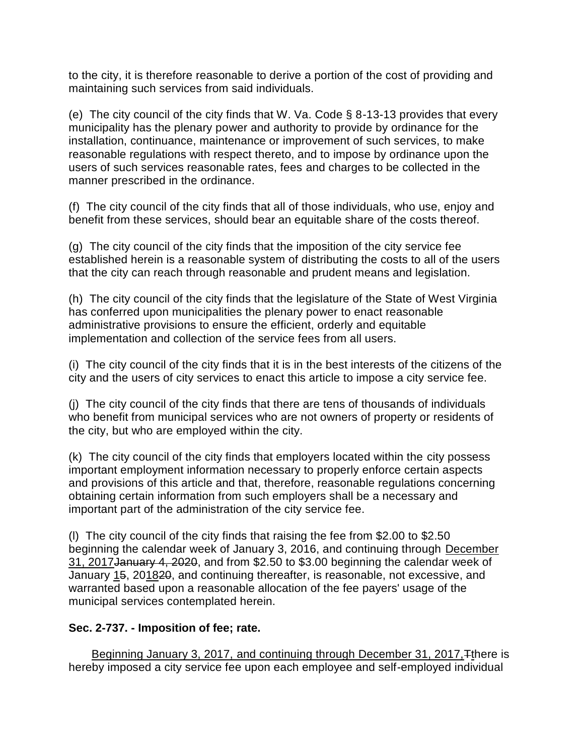to the city, it is therefore reasonable to derive a portion of the cost of providing and maintaining such services from said individuals.

(e) The city council of the city finds that W. Va. Code § 8-13-13 provides that every municipality has the plenary power and authority to provide by ordinance for the installation, continuance, maintenance or improvement of such services, to make reasonable regulations with respect thereto, and to impose by ordinance upon the users of such services reasonable rates, fees and charges to be collected in the manner prescribed in the ordinance.

(f) The city council of the city finds that all of those individuals, who use, enjoy and benefit from these services, should bear an equitable share of the costs thereof.

(g) The city council of the city finds that the imposition of the city service fee established herein is a reasonable system of distributing the costs to all of the users that the city can reach through reasonable and prudent means and legislation.

(h) The city council of the city finds that the legislature of the State of West Virginia has conferred upon municipalities the plenary power to enact reasonable administrative provisions to ensure the efficient, orderly and equitable implementation and collection of the service fees from all users.

(i) The city council of the city finds that it is in the best interests of the citizens of the city and the users of city services to enact this article to impose a city service fee.

(j) The city council of the city finds that there are tens of thousands of individuals who benefit from municipal services who are not owners of property or residents of the city, but who are employed within the city.

(k) The city council of the city finds that employers located within the city possess important employment information necessary to properly enforce certain aspects and provisions of this article and that, therefore, reasonable regulations concerning obtaining certain information from such employers shall be a necessary and important part of the administration of the city service fee.

(l) The city council of the city finds that raising the fee from \$2.00 to \$2.50 beginning the calendar week of January 3, 2016, and continuing through December 31, 2017January 4, 2020, and from \$2.50 to \$3.00 beginning the calendar week of January 15, 201820, and continuing thereafter, is reasonable, not excessive, and warranted based upon a reasonable allocation of the fee payers' usage of the municipal services contemplated herein.

# **Sec. 2-737. - Imposition of fee; rate.**

Beginning January 3, 2017, and continuing through December 31, 2017, Tthere is hereby imposed a city service fee upon each employee and self-employed individual